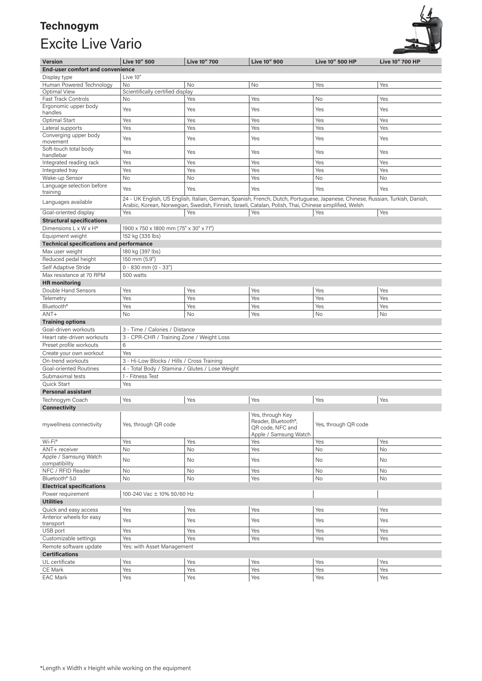## **Technogym**  Excite Live Vario



| <b>Version</b>                                       | Live 10" 500                                                                                                                                                                                                                             | <b>Live 10" 700</b> | Live 10" 900                                                                                      | Live 10" 500 HP      | <b>Live 10" 700 HP</b> |  |
|------------------------------------------------------|------------------------------------------------------------------------------------------------------------------------------------------------------------------------------------------------------------------------------------------|---------------------|---------------------------------------------------------------------------------------------------|----------------------|------------------------|--|
| <b>End-user comfort and convenience</b>              |                                                                                                                                                                                                                                          |                     |                                                                                                   |                      |                        |  |
| Display type                                         | Live 10"                                                                                                                                                                                                                                 |                     |                                                                                                   |                      |                        |  |
| Human Powered Technology                             | No                                                                                                                                                                                                                                       | No                  | No                                                                                                | Yes                  | Yes                    |  |
| Optimal View                                         | Scientifically certified display                                                                                                                                                                                                         |                     |                                                                                                   |                      |                        |  |
| <b>Fast Track Controls</b>                           | No                                                                                                                                                                                                                                       | Yes                 | Yes                                                                                               | No                   | Yes                    |  |
| Ergonomic upper body<br>handles                      | Yes                                                                                                                                                                                                                                      | Yes                 | Yes                                                                                               | Yes                  | Yes                    |  |
| Optimal Start                                        | Yes                                                                                                                                                                                                                                      | Yes                 | Yes                                                                                               | Yes                  | Yes                    |  |
| Lateral supports                                     | Yes                                                                                                                                                                                                                                      | Yes                 | Yes                                                                                               | Yes                  | Yes                    |  |
| Converging upper body<br>movement                    | Yes                                                                                                                                                                                                                                      | Yes                 | Yes                                                                                               | Yes                  | Yes                    |  |
| Soft-touch total body<br>handlebar                   | Yes                                                                                                                                                                                                                                      | Yes                 | Yes                                                                                               | Yes                  | Yes                    |  |
| Integrated reading rack                              | Yes                                                                                                                                                                                                                                      | Yes                 | Yes                                                                                               | Yes                  | Yes                    |  |
| Integrated tray                                      | Yes                                                                                                                                                                                                                                      | Yes                 | Yes                                                                                               | Yes                  | Yes                    |  |
| Wake-up Sensor                                       | No                                                                                                                                                                                                                                       | No                  | Yes                                                                                               | No                   | No                     |  |
| Language selection before<br>training                | Yes                                                                                                                                                                                                                                      | Yes                 | Yes                                                                                               | Yes                  | Yes                    |  |
| Languages available                                  | 24 - UK English, US English, Italian, German, Spanish, French, Dutch, Portuguese, Japanese, Chinese, Russian, Turkish, Danish,<br>Arabic, Korean, Norwegian, Swedish, Finnish, Israeli, Catalan, Polish, Thai, Chinese simplified, Welsh |                     |                                                                                                   |                      |                        |  |
| Goal-oriented display                                | Yes                                                                                                                                                                                                                                      | Yes                 | Yes                                                                                               | Yes                  | Yes                    |  |
| <b>Structural specifications</b>                     |                                                                                                                                                                                                                                          |                     |                                                                                                   |                      |                        |  |
| Dimensions L x W x H*                                | 1900 x 750 x 1800 mm (75" x 30" x 71")                                                                                                                                                                                                   |                     |                                                                                                   |                      |                        |  |
| Equipment weight                                     | 152 kg (335 lbs)                                                                                                                                                                                                                         |                     |                                                                                                   |                      |                        |  |
| <b>Technical specifications and performance</b>      |                                                                                                                                                                                                                                          |                     |                                                                                                   |                      |                        |  |
| Max user weight                                      | 180 kg (397 lbs)                                                                                                                                                                                                                         |                     |                                                                                                   |                      |                        |  |
| Reduced pedal height                                 | 150 mm (5.9")                                                                                                                                                                                                                            |                     |                                                                                                   |                      |                        |  |
| Self Adaptive Stride                                 | $0 - 830$ mm $(0 - 33")$                                                                                                                                                                                                                 |                     |                                                                                                   |                      |                        |  |
| Max resistance at 70 RPM                             | 500 watts                                                                                                                                                                                                                                |                     |                                                                                                   |                      |                        |  |
| <b>HR</b> monitoring                                 |                                                                                                                                                                                                                                          |                     |                                                                                                   |                      |                        |  |
| Double Hand Sensors                                  | Yes                                                                                                                                                                                                                                      | Yes                 | Yes                                                                                               | Yes                  | Yes                    |  |
| Telemetry                                            | Yes                                                                                                                                                                                                                                      | Yes                 | Yes                                                                                               | Yes                  | Yes                    |  |
| Bluetooth <sup>®</sup>                               | Yes                                                                                                                                                                                                                                      | Yes                 | Yes                                                                                               | Yes                  | Yes                    |  |
| $ANT+$                                               | No                                                                                                                                                                                                                                       | No                  | Yes                                                                                               | No                   | No                     |  |
| <b>Training options</b>                              |                                                                                                                                                                                                                                          |                     |                                                                                                   |                      |                        |  |
| Goal-driven workouts                                 | 3 - Time / Calories / Distance                                                                                                                                                                                                           |                     |                                                                                                   |                      |                        |  |
| Heart rate-driven workouts                           | 3 - CPR-CHR / Training Zone / Weight Loss                                                                                                                                                                                                |                     |                                                                                                   |                      |                        |  |
| Preset profile workouts                              | 6                                                                                                                                                                                                                                        |                     |                                                                                                   |                      |                        |  |
| Create your own workout                              | Yes                                                                                                                                                                                                                                      |                     |                                                                                                   |                      |                        |  |
| On-trend workouts                                    | 3 - Hi-Low Blocks / Hills / Cross Training                                                                                                                                                                                               |                     |                                                                                                   |                      |                        |  |
| Goal-oriented Routines                               | 4 - Total Body / Stamina / Glutes / Lose Weight                                                                                                                                                                                          |                     |                                                                                                   |                      |                        |  |
| Submaximal tests                                     | 1 - Fitness Test                                                                                                                                                                                                                         |                     |                                                                                                   |                      |                        |  |
| Quick Start                                          | Yes                                                                                                                                                                                                                                      |                     |                                                                                                   |                      |                        |  |
| <b>Personal assistant</b>                            |                                                                                                                                                                                                                                          |                     |                                                                                                   |                      |                        |  |
| Technogym Coach                                      | Yes                                                                                                                                                                                                                                      | Yes                 | Yes                                                                                               | Yes                  | Yes                    |  |
| <b>Connectivity</b>                                  |                                                                                                                                                                                                                                          |                     |                                                                                                   |                      |                        |  |
| mywellness connectivity                              | Yes, through QR code                                                                                                                                                                                                                     |                     | Yes, through Key<br>Reader, Bluetooth <sup>®</sup> ,<br>QR code, NFC and<br>Apple / Samsung Watch | Yes, through QR code |                        |  |
| Wi-Fi <sup>®</sup>                                   | Yes                                                                                                                                                                                                                                      | Yes                 | Yes                                                                                               | Yes                  | Yes                    |  |
| ANT+ receiver                                        | No                                                                                                                                                                                                                                       | No                  | Yes                                                                                               | No                   | No                     |  |
| Apple / Samsung Watch<br>compatibility               | No                                                                                                                                                                                                                                       | No                  | Yes                                                                                               | No                   | No                     |  |
| NFC / RFID Reader                                    | No                                                                                                                                                                                                                                       | No                  | Yes                                                                                               | No                   | No                     |  |
| Bluetooth <sup>®</sup> 5.0                           | No                                                                                                                                                                                                                                       | No                  | Yes                                                                                               | No                   | No                     |  |
| <b>Electrical specifications</b>                     |                                                                                                                                                                                                                                          |                     |                                                                                                   |                      |                        |  |
| Power requirement                                    | 100-240 Vac ± 10% 50/60 Hz                                                                                                                                                                                                               |                     |                                                                                                   |                      |                        |  |
| <b>Utilities</b>                                     |                                                                                                                                                                                                                                          |                     |                                                                                                   |                      |                        |  |
| Quick and easy access                                | Yes                                                                                                                                                                                                                                      | Yes                 | Yes                                                                                               | Yes                  | Yes                    |  |
| Anterior wheels for easy                             | Yes                                                                                                                                                                                                                                      | Yes                 | Yes                                                                                               | Yes                  | Yes                    |  |
| transport                                            |                                                                                                                                                                                                                                          |                     |                                                                                                   |                      |                        |  |
| USB port                                             | Yes                                                                                                                                                                                                                                      | Yes                 | Yes                                                                                               | Yes                  | Yes                    |  |
| Customizable settings                                | Yes                                                                                                                                                                                                                                      | Yes                 | Yes                                                                                               | Yes                  | Yes                    |  |
| Remote software update<br>Yes: with Asset Management |                                                                                                                                                                                                                                          |                     |                                                                                                   |                      |                        |  |
| <b>Certifications</b>                                |                                                                                                                                                                                                                                          |                     |                                                                                                   |                      |                        |  |
| UL certificate                                       | Yes                                                                                                                                                                                                                                      | Yes                 | Yes                                                                                               | Yes                  | Yes                    |  |
| CE Mark                                              | Yes                                                                                                                                                                                                                                      | Yes                 | Yes                                                                                               | Yes                  | Yes                    |  |
| <b>EAC Mark</b>                                      | Yes                                                                                                                                                                                                                                      | Yes                 | Yes                                                                                               | Yes                  | Yes                    |  |